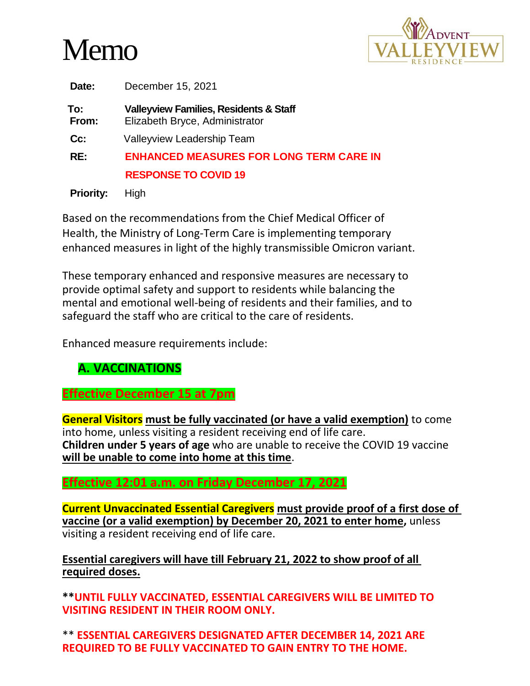



| Date:            | December 15, 2021                                                                   |
|------------------|-------------------------------------------------------------------------------------|
| To:<br>From:     | <b>Valleyview Families, Residents &amp; Staff</b><br>Elizabeth Bryce, Administrator |
| $Cc$ :           | <b>Valleyview Leadership Team</b>                                                   |
| RE:              | <b>ENHANCED MEASURES FOR LONG TERM CARE IN</b>                                      |
|                  | <b>RESPONSE TO COVID 19</b>                                                         |
| <b>Priority:</b> | High                                                                                |

Based on the recommendations from the Chief Medical Officer of Health, the Ministry of Long-Term Care is implementing temporary enhanced measures in light of the highly transmissible Omicron variant.

These temporary enhanced and responsive measures are necessary to provide optimal safety and support to residents while balancing the mental and emotional well-being of residents and their families, and to safeguard the staff who are critical to the care of residents.

Enhanced measure requirements include:

#### **A. VACCINATIONS**

#### **Effective December 15 at 7pm**

**General Visitors must be fully vaccinated (or have a valid exemption)** to come into home, unless visiting a resident receiving end of life care. **Children under 5 years of age** who are unable to receive the COVID 19 vaccine **will be unable to come into home at this time**.

**Effective 12:01 a.m. on Friday December 17, 2021**

**Current Unvaccinated Essential Caregivers must provide proof of a first dose of vaccine (or a valid exemption) by December 20, 2021 to enter home,** unless visiting a resident receiving end of life care.

**Essential caregivers will have till February 21, 2022 to show proof of all required doses.**

**\*\*UNTIL FULLY VACCINATED, ESSENTIAL CAREGIVERS WILL BE LIMITED TO VISITING RESIDENT IN THEIR ROOM ONLY.**

\*\* **ESSENTIAL CAREGIVERS DESIGNATED AFTER DECEMBER 14, 2021 ARE REQUIRED TO BE FULLY VACCINATED TO GAIN ENTRY TO THE HOME.**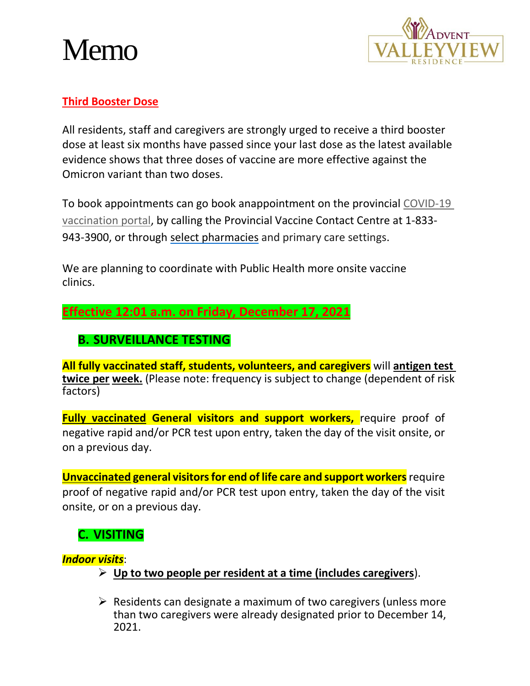



## **Third Booster Dose**

All residents, staff and caregivers are strongly urged to receive a third booster dose at least six months have passed since your last dose as the latest available evidence shows that three doses of vaccine are more effective against the Omicron variant than two doses.

To book appointments can go book anappointment on the provincial [COVID-19](https://covid19.ontariohealth.ca/)  [vaccination portal,](https://covid19.ontariohealth.ca/) by calling the Provincial Vaccine Contact Centre at 1-833 943-3900, or through [select pharmacies](https://covid-19.ontario.ca/vaccine-locations) and primary care settings.

We are planning to coordinate with Public Health more onsite vaccine clinics.

**Effective 12:01 a.m. on Friday, December 17, 2021**

# **B. SURVEILLANCE TESTING**

**All fully vaccinated staff, students, volunteers, and caregivers** will **antigen test twice per week.** (Please note: frequency is subject to change (dependent of risk factors)

**Fully vaccinated General visitors and support workers, require proof of** negative rapid and/or PCR test upon entry, taken the day of the visit onsite, or on a previous day.

**Unvaccinated general visitors for end of life care and support workers** require proof of negative rapid and/or PCR test upon entry, taken the day of the visit onsite, or on a previous day.

# **C. VISITING**

#### *Indoor visits*:

- **Up to two people per resident at a time (includes caregivers**).
- $\triangleright$  Residents can designate a maximum of two caregivers (unless more than two caregivers were already designated prior to December 14, 2021.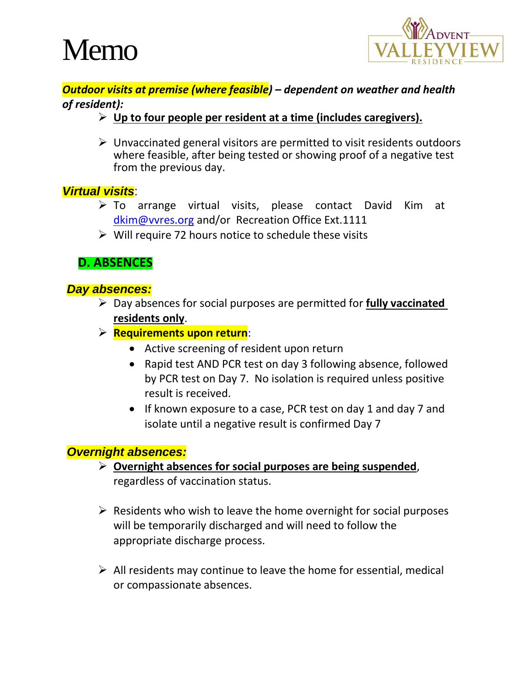



*Outdoor visits at premise (where feasible) – dependent on weather and health of resident):*

- **Up to four people per resident at a time (includes caregivers).**
- $\triangleright$  Unvaccinated general visitors are permitted to visit residents outdoors where feasible, after being tested or showing proof of a negative test from the previous day.

## *Virtual visits*:

- $\triangleright$  To arrange virtual visits, please contact David Kim at [dkim@vvres.org](mailto:dkim@vvres.org) and/or Recreation Office Ext.1111
- $\triangleright$  Will require 72 hours notice to schedule these visits

# **D. ABSENCES**

#### *Day absences:*

- Day absences for social purposes are permitted for **fully vaccinated residents only**.
- **Requirements upon return**:
	- Active screening of resident upon return
	- Rapid test AND PCR test on day 3 following absence, followed by PCR test on Day 7. No isolation is required unless positive result is received.
	- If known exposure to a case, PCR test on day 1 and day 7 and isolate until a negative result is confirmed Day 7

## *Overnight absences:*

- **Overnight absences for social purposes are being suspended**, regardless of vaccination status.
- $\triangleright$  Residents who wish to leave the home overnight for social purposes will be temporarily discharged and will need to follow the appropriate discharge process.
- $\triangleright$  All residents may continue to leave the home for essential, medical or compassionate absences.